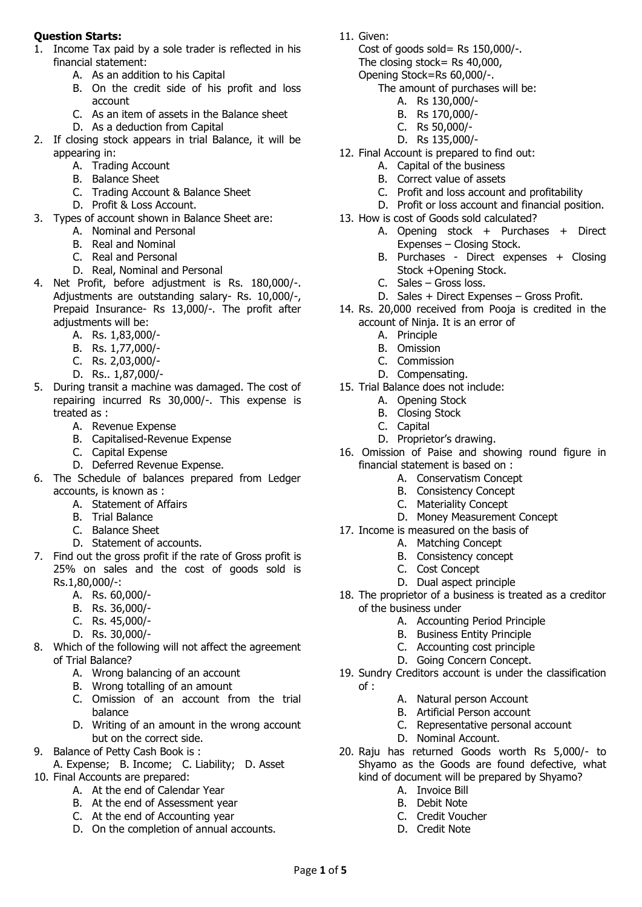## **Question Starts:**

- 1. Income Tax paid by a sole trader is reflected in his financial statement:
	- A. As an addition to his Capital
	- B. On the credit side of his profit and loss account
	- C. As an item of assets in the Balance sheet
	- D. As a deduction from Capital
- 2. If closing stock appears in trial Balance, it will be appearing in:
	- A. Trading Account
	- B. Balance Sheet
	- C. Trading Account & Balance Sheet
	- D. Profit & Loss Account.
- 3. Types of account shown in Balance Sheet are:
	- A. Nominal and Personal
	- B. Real and Nominal
	- C. Real and Personal
	- D. Real, Nominal and Personal
- 4. Net Profit, before adjustment is Rs. 180,000/-. Adjustments are outstanding salary- Rs. 10,000/-, Prepaid Insurance- Rs 13,000/-. The profit after adjustments will be:
	- A. Rs. 1,83,000/-
	- B. Rs. 1,77,000/-
	- C. Rs. 2,03,000/-
	- D. Rs.. 1,87,000/-
- 5. During transit a machine was damaged. The cost of repairing incurred Rs 30,000/-. This expense is treated as :
	- A. Revenue Expense
	- B. Capitalised-Revenue Expense
	- C. Capital Expense
	- D. Deferred Revenue Expense.
- 6. The Schedule of balances prepared from Ledger accounts, is known as :
	- A. Statement of Affairs
	- B. Trial Balance
	- C. Balance Sheet
	- D. Statement of accounts.
- 7. Find out the gross profit if the rate of Gross profit is 25% on sales and the cost of goods sold is Rs.1,80,000/-:
	- A. Rs. 60,000/-
	- B. Rs. 36,000/-
	- C. Rs. 45,000/-
	- D. Rs. 30,000/-
- 8. Which of the following will not affect the agreement of Trial Balance?
	- A. Wrong balancing of an account
	- B. Wrong totalling of an amount
	- C. Omission of an account from the trial balance
	- D. Writing of an amount in the wrong account but on the correct side.
- 9. Balance of Petty Cash Book is :
- A. Expense; B. Income; C. Liability; D. Asset 10. Final Accounts are prepared:
	- A. At the end of Calendar Year
	- B. At the end of Assessment year
	- C. At the end of Accounting year
	- D. On the completion of annual accounts.

11. Given:

Cost of goods sold= Rs 150,000/-.

- The closing stock= Rs 40,000,
- Opening Stock=Rs 60,000/-.
	- The amount of purchases will be:
		- A. Rs 130,000/-
		- B. Rs 170,000/-
		- C. Rs 50,000/-
		- D. Rs 135,000/-
- 12. Final Account is prepared to find out:
	- A. Capital of the business
	- B. Correct value of assets
	- C. Profit and loss account and profitability
	- D. Profit or loss account and financial position.
- 13. How is cost of Goods sold calculated?
	- A. Opening stock + Purchases + Direct Expenses – Closing Stock.
	- B. Purchases Direct expenses + Closing Stock +Opening Stock.
	- C. Sales Gross loss.
	- D. Sales + Direct Expenses Gross Profit.
- 14. Rs. 20,000 received from Pooja is credited in the account of Ninja. It is an error of
	- A. Principle
	- B. Omission
	- C. Commission
	- D. Compensating.
- 15. Trial Balance does not include:
	- A. Opening Stock
	- B. Closing Stock
	- C. Capital
	- D. Proprietor's drawing.
- 16. Omission of Paise and showing round figure in financial statement is based on :
	- A. Conservatism Concept
	- B. Consistency Concept
	- C. Materiality Concept
	- D. Money Measurement Concept
- 17. Income is measured on the basis of
	- A. Matching Concept
	- B. Consistency concept
	- C. Cost Concept
	- D. Dual aspect principle
- 18. The proprietor of a business is treated as a creditor of the business under
	- A. Accounting Period Principle
	- B. Business Entity Principle
	- C. Accounting cost principle
	- D. Going Concern Concept.
- 19. Sundry Creditors account is under the classification of :
	- A. Natural person Account
	- B. Artificial Person account
	- C. Representative personal account
	- D. Nominal Account.
- 20. Raju has returned Goods worth Rs 5,000/- to Shyamo as the Goods are found defective, what kind of document will be prepared by Shyamo?
	- A. Invoice Bill
	- B. Debit Note

Page **1** of **5**

C. Credit Voucher D. Credit Note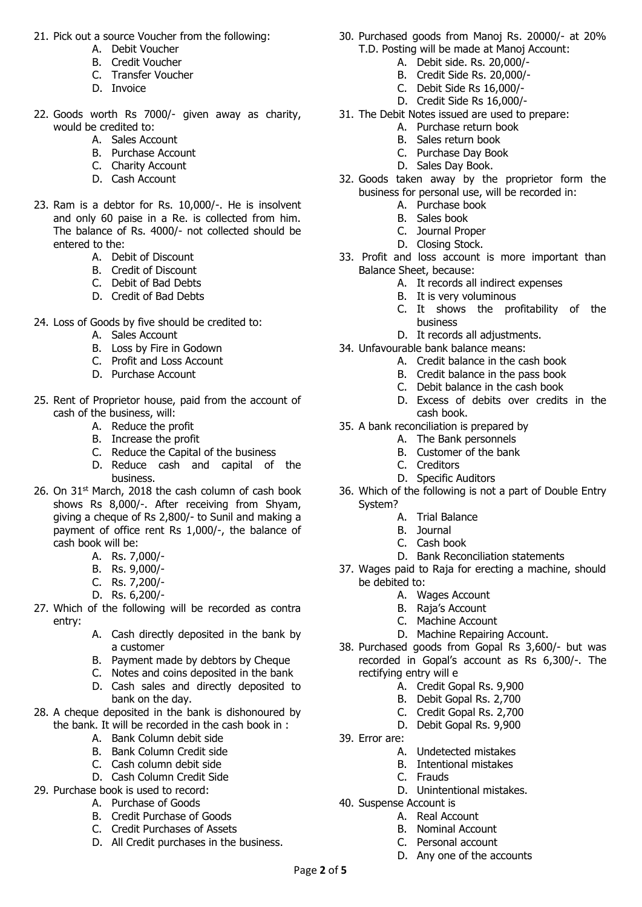- 21. Pick out a source Voucher from the following:
	- A. Debit Voucher
	- B. Credit Voucher
	- C. Transfer Voucher
	- D. Invoice
- 22. Goods worth Rs 7000/- given away as charity, would be credited to:
	- A. Sales Account
	- B. Purchase Account
	- C. Charity Account
	- D. Cash Account
- 23. Ram is a debtor for Rs. 10,000/-. He is insolvent and only 60 paise in a Re. is collected from him. The balance of Rs. 4000/- not collected should be entered to the:
	- A. Debit of Discount
	- B. Credit of Discount
	- C. Debit of Bad Debts
	- D. Credit of Bad Debts
- 24. Loss of Goods by five should be credited to:
	- A. Sales Account
	- B. Loss by Fire in Godown
	- C. Profit and Loss Account
	- D. Purchase Account
- 25. Rent of Proprietor house, paid from the account of cash of the business, will:
	- A. Reduce the profit
	- B. Increase the profit
	- C. Reduce the Capital of the business
	- D. Reduce cash and capital of the business.
- 26. On 31<sup>st</sup> March, 2018 the cash column of cash book shows Rs 8,000/-. After receiving from Shyam, giving a cheque of Rs 2,800/- to Sunil and making a payment of office rent Rs 1,000/-, the balance of cash book will be:
	- A. Rs. 7,000/-
	- B. Rs. 9,000/-
	- C. Rs. 7,200/-
	- D. Rs. 6,200/-
- 27. Which of the following will be recorded as contra entry:
	- A. Cash directly deposited in the bank by a customer
	- B. Payment made by debtors by Cheque
	- C. Notes and coins deposited in the bank
	- D. Cash sales and directly deposited to bank on the day.
- 28. A cheque deposited in the bank is dishonoured by the bank. It will be recorded in the cash book in :
	- A. Bank Column debit side
	- B. Bank Column Credit side
	- C. Cash column debit side
	- D. Cash Column Credit Side
- 29. Purchase book is used to record:
	- A. Purchase of Goods
	- B. Credit Purchase of Goods
	- C. Credit Purchases of Assets
	- D. All Credit purchases in the business.
- 30. Purchased goods from Manoj Rs. 20000/- at 20% T.D. Posting will be made at Manoj Account:
	- A. Debit side. Rs. 20,000/-
	- B. Credit Side Rs. 20,000/-
	- C. Debit Side Rs 16,000/-
	- D. Credit Side Rs 16,000/-
- 31. The Debit Notes issued are used to prepare:
	- A. Purchase return book
		- B. Sales return book
	- C. Purchase Day Book
	- D. Sales Day Book.
- 32. Goods taken away by the proprietor form the business for personal use, will be recorded in:
	- A. Purchase book
		- B. Sales book
	- C. Journal Proper
	- D. Closing Stock.
- 33. Profit and loss account is more important than Balance Sheet, because:
	- A. It records all indirect expenses
	- B. It is very voluminous
	- C. It shows the profitability of the business
	- D. It records all adjustments.
- 34. Unfavourable bank balance means:
	- A. Credit balance in the cash book
	- B. Credit balance in the pass book
	- C. Debit balance in the cash book
	- D. Excess of debits over credits in the cash book.
- 35. A bank reconciliation is prepared by
	- A. The Bank personnels
	- B. Customer of the bank
	- C. Creditors
	- D. Specific Auditors
- 36. Which of the following is not a part of Double Entry System?
	- A. Trial Balance
	- B. Journal
	- C. Cash book
	- D. Bank Reconciliation statements
- 37. Wages paid to Raja for erecting a machine, should be debited to:
	- A. Wages Account
	- B. Raja's Account
	- C. Machine Account
	- D. Machine Repairing Account.
- 38. Purchased goods from Gopal Rs 3,600/- but was recorded in Gopal's account as Rs 6,300/-. The rectifying entry will e
	- A. Credit Gopal Rs. 9,900
	- B. Debit Gopal Rs. 2,700
	- C. Credit Gopal Rs. 2,700
	- D. Debit Gopal Rs. 9,900
- 39. Error are:

Page **2** of **5**

- A. Undetected mistakes
- B. Intentional mistakes
- C. Frauds
- D. Unintentional mistakes.
- 40. Suspense Account is
	- A. Real Account
	- B. Nominal Account
	- C. Personal account
	- D. Any one of the accounts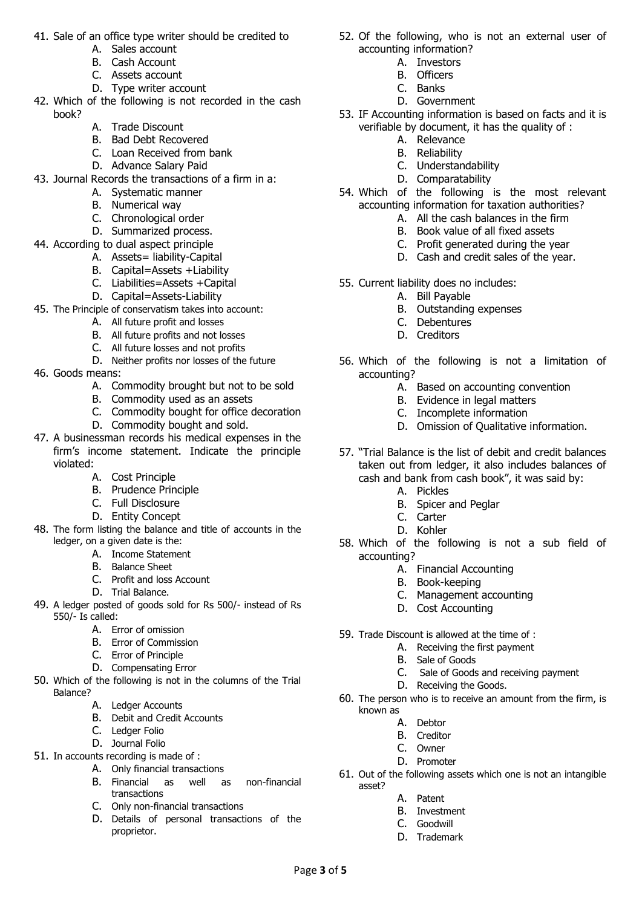- 41. Sale of an office type writer should be credited to
	- A. Sales account
	- B. Cash Account
	- C. Assets account
	- D. Type writer account
- 42. Which of the following is not recorded in the cash book?
	- A. Trade Discount
	- B. Bad Debt Recovered
	- C. Loan Received from bank
	- D. Advance Salary Paid
- 43. Journal Records the transactions of a firm in a:
	- A. Systematic manner
	- B. Numerical way
	- C. Chronological order
	- D. Summarized process.
- 44. According to dual aspect principle
	- A. Assets= liability-Capital
	- B. Capital=Assets +Liability
	- C. Liabilities=Assets +Capital
	- D. Capital=Assets-Liability
- 45. The Principle of conservatism takes into account:
	- A. All future profit and losses
	- B. All future profits and not losses
	- C. All future losses and not profits
	- D. Neither profits nor losses of the future
- 46. Goods means:
	- A. Commodity brought but not to be sold
	- B. Commodity used as an assets
	- C. Commodity bought for office decoration
	- D. Commodity bought and sold.
- 47. A businessman records his medical expenses in the firm's income statement. Indicate the principle violated:
	- A. Cost Principle
	- B. Prudence Principle
	- C. Full Disclosure
	- D. Entity Concept
- 48. The form listing the balance and title of accounts in the ledger, on a given date is the:
	- A. Income Statement
	- B. Balance Sheet
	- C. Profit and loss Account
	- D. Trial Balance.
- 49. A ledger posted of goods sold for Rs 500/- instead of Rs 550/- Is called:
	- A. Error of omission
	- B. Error of Commission
	- C. Error of Principle
	- D. Compensating Error
- 50. Which of the following is not in the columns of the Trial Balance?
	- A. Ledger Accounts
	- B. Debit and Credit Accounts
	- C. Ledger Folio
	- D. Journal Folio
- 51. In accounts recording is made of :
	- A. Only financial transactions
		- B. Financial as well as non-financial transactions
		- C. Only non-financial transactions
		- D. Details of personal transactions of the proprietor.
- 52. Of the following, who is not an external user of accounting information?
	- A. Investors
	- B. Officers
	- C. Banks
	- D. Government
- 53. IF Accounting information is based on facts and it is verifiable by document, it has the quality of :
	- A. Relevance
	- B. Reliability
	- C. Understandability
	- D. Comparatability
- 54. Which of the following is the most relevant accounting information for taxation authorities?
	- A. All the cash balances in the firm
	- B. Book value of all fixed assets
	- C. Profit generated during the year
	- D. Cash and credit sales of the year.
- 55. Current liability does no includes:
	- A. Bill Payable
		- B. Outstanding expenses
		- C. Debentures
		- D. Creditors
- 56. Which of the following is not a limitation of accounting?
	- A. Based on accounting convention
	- B. Evidence in legal matters
	- C. Incomplete information
	- D. Omission of Qualitative information.
- 57. "Trial Balance is the list of debit and credit balances taken out from ledger, it also includes balances of cash and bank from cash book", it was said by:
	- A. Pickles
	- B. Spicer and Peglar
	- C. Carter
	- D. Kohler
- 58. Which of the following is not a sub field of accounting?
	- A. Financial Accounting
	- B. Book-keeping
	- C. Management accounting
	- D. Cost Accounting
- 59. Trade Discount is allowed at the time of :
	- A. Receiving the first payment
	- B. Sale of Goods
	- C. Sale of Goods and receiving payment
	- D. Receiving the Goods.
- 60. The person who is to receive an amount from the firm, is known as

61. Out of the following assets which one is not an intangible

- A. Debtor
- B. Creditor
- C. Owner

A. Patent B. Investment C. Goodwill D. Trademark

asset?

Page **3** of **5**

D. Promoter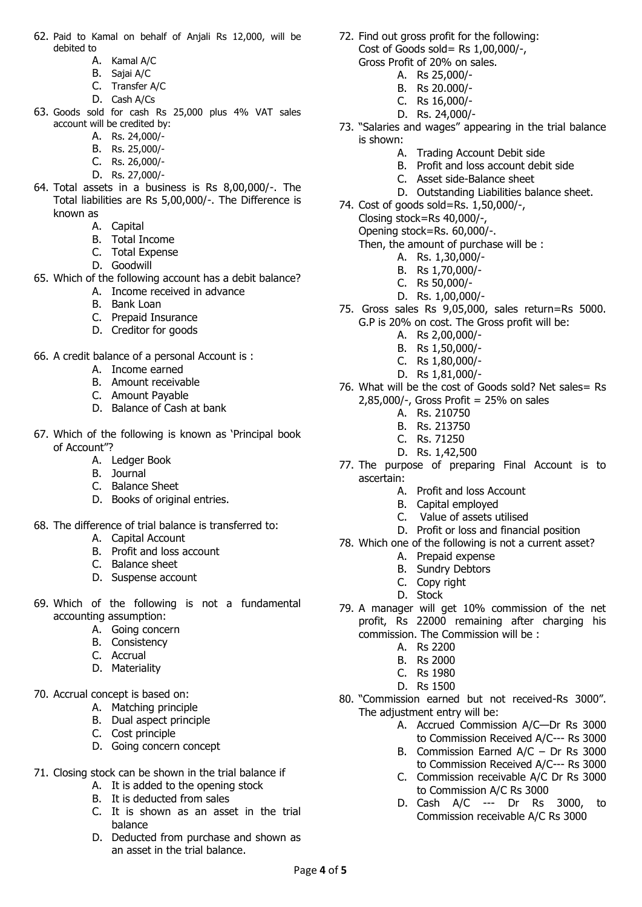- 62. Paid to Kamal on behalf of Anjali Rs 12,000, will be debited to
	- A. Kamal A/C
	- B. Sajai A/C
	- C. Transfer A/C
	- D. Cash A/Cs
- 63. Goods sold for cash Rs 25,000 plus 4% VAT sales account will be credited by:
	- A. Rs. 24,000/-
	- B. Rs. 25,000/-
	- C. Rs. 26,000/-
	- D. Rs. 27,000/-
- 64. Total assets in a business is Rs 8,00,000/-. The Total liabilities are Rs 5,00,000/-. The Difference is known as
	- A. Capital
	- B. Total Income
	- C. Total Expense
	- D. Goodwill
- 65. Which of the following account has a debit balance?
	- A. Income received in advance
	- B. Bank Loan
	- C. Prepaid Insurance
	- D. Creditor for goods
- 66. A credit balance of a personal Account is :
	- A. Income earned
	- B. Amount receivable
	- C. Amount Payable
	- D. Balance of Cash at bank
- 67. Which of the following is known as 'Principal book of Account"?
	- A. Ledger Book
	- B. Journal
	- C. Balance Sheet
	- D. Books of original entries.
- 68. The difference of trial balance is transferred to:
	- A. Capital Account
	- B. Profit and loss account
	- C. Balance sheet
	- D. Suspense account
- 69. Which of the following is not a fundamental accounting assumption:
	- A. Going concern
	- B. Consistency
	- C. Accrual
	- D. Materiality
- 70. Accrual concept is based on:
	- A. Matching principle
	- B. Dual aspect principle
	- C. Cost principle
	- D. Going concern concept
- 71. Closing stock can be shown in the trial balance if
	- A. It is added to the opening stock
	- B. It is deducted from sales
	- C. It is shown as an asset in the trial balance
	- D. Deducted from purchase and shown as an asset in the trial balance.
- 72. Find out gross profit for the following: Cost of Goods sold= Rs 1,00,000/-, Gross Profit of 20% on sales.
	- - A. Rs 25,000/-
		- B. Rs 20.000/-
		- C. Rs 16,000/- D. Rs. 24,000/-
		-
- 73. "Salaries and wages" appearing in the trial balance is shown:
	- A. Trading Account Debit side
	- B. Profit and loss account debit side
	- C. Asset side-Balance sheet
	- D. Outstanding Liabilities balance sheet.
- 74. Cost of goods sold=Rs. 1,50,000/-,
	- Closing stock=Rs 40,000/-,
	- Opening stock=Rs. 60,000/-.
	- Then, the amount of purchase will be :
		- A. Rs. 1,30,000/-
		- B. Rs 1,70,000/-
		- C. Rs 50,000/-
		- D. Rs. 1,00,000/-
- 75. Gross sales Rs 9,05,000, sales return=Rs 5000. G.P is 20% on cost. The Gross profit will be:
	- A. Rs 2,00,000/-
	- B. Rs 1,50,000/-
	- C. Rs 1,80,000/-
	- D. Rs 1,81,000/-
- 76. What will be the cost of Goods sold? Net sales= Rs 2,85,000/-, Gross Profit = 25% on sales
	- A. Rs. 210750
	- B. Rs. 213750
	- C. Rs. 71250
	- D. Rs. 1,42,500
- 77. The purpose of preparing Final Account is to ascertain:
	- A. Profit and loss Account
	- B. Capital employed
	- C. Value of assets utilised
	- D. Profit or loss and financial position
- 78. Which one of the following is not a current asset?
	- A. Prepaid expense
	- B. Sundry Debtors
	- C. Copy right
	- D. Stock
- 79. A manager will get 10% commission of the net profit, Rs 22000 remaining after charging his commission. The Commission will be :
	- A. Rs 2200
	- B. Rs 2000
	- C. Rs 1980
	- D. Rs 1500
- 80. "Commission earned but not received-Rs 3000". The adjustment entry will be:
	- A. Accrued Commission A/C—Dr Rs 3000 to Commission Received A/C--- Rs 3000
	- B. Commission Earned A/C Dr Rs 3000 to Commission Received A/C--- Rs 3000
	- C. Commission receivable A/C Dr Rs 3000 to Commission A/C Rs 3000
	- D. Cash A/C --- Dr Rs 3000, to Commission receivable A/C Rs 3000